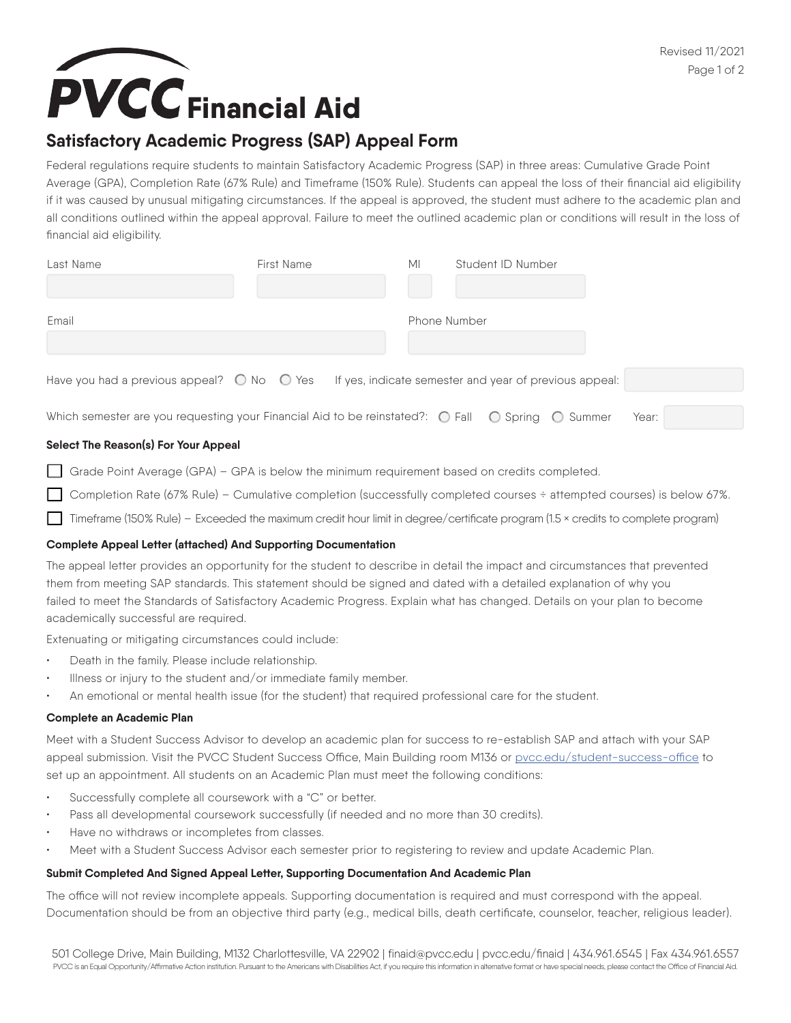# **PVCC** Financial Aid

### **Satisfactory Academic Progress (SAP) Appeal Form**

Federal regulations require students to maintain Satisfactory Academic Progress (SAP) in three areas: Cumulative Grade Point Average (GPA), Completion Rate (67% Rule) and Timeframe (150% Rule). Students can appeal the loss of their financial aid eligibility if it was caused by unusual mitigating circumstances. If the appeal is approved, the student must adhere to the academic plan and all conditions outlined within the appeal approval. Failure to meet the outlined academic plan or conditions will result in the loss of financial aid eligibility.

| Last Name                                                                                                                   | First Name | МI                  | Student ID Number |       |
|-----------------------------------------------------------------------------------------------------------------------------|------------|---------------------|-------------------|-------|
| Email                                                                                                                       |            | <b>Phone Number</b> |                   |       |
| Have you had a previous appeal? $\bigcirc$ No $\bigcirc$ Yes If yes, indicate semester and year of previous appeal:         |            |                     |                   |       |
| Which semester are you requesting your Financial Aid to be reinstated?: $\bigcirc$ Fall $\bigcirc$ Spring $\bigcirc$ Summer |            |                     |                   | Year: |

#### **Select The Reason(s) For Your Appeal**

Grade Point Average (GPA) – GPA is below the minimum requirement based on credits completed.

Completion Rate (67% Rule) – Cumulative completion (successfully completed courses ÷ attempted courses) is below 67%.

Timeframe (150% Rule) – Exceeded the maximum credit hour limit in degree/certificate program (1.5 × credits to complete program)

#### **Complete Appeal Letter (attached) And Supporting Documentation**

The appeal letter provides an opportunity for the student to describe in detail the impact and circumstances that prevented them from meeting SAP standards. This statement should be signed and dated with a detailed explanation of why you failed to meet the Standards of Satisfactory Academic Progress. Explain what has changed. Details on your plan to become academically successful are required.

Extenuating or mitigating circumstances could include:

- Death in the family. Please include relationship.
- Illness or injury to the student and/or immediate family member.
- An emotional or mental health issue (for the student) that required professional care for the student.

#### **Complete an Academic Plan**

Meet with a Student Success Advisor to develop an academic plan for success to re-establish SAP and attach with your SAP appeal submission. Visit the PVCC Student Success Office, Main Building room M136 or [pvcc.edu/student-success-office](https://www.pvcc.edu/student-success-office) to set up an appointment. All students on an Academic Plan must meet the following conditions:

- Successfully complete all coursework with a "C" or better.
- Pass all developmental coursework successfully (if needed and no more than 30 credits).
- Have no withdraws or incompletes from classes.
- Meet with a Student Success Advisor each semester prior to registering to review and update Academic Plan.

#### **Submit Completed And Signed Appeal Letter, Supporting Documentation And Academic Plan**

The office will not review incomplete appeals. Supporting documentation is required and must correspond with the appeal. Documentation should be from an objective third party (e.g., medical bills, death certificate, counselor, teacher, religious leader).